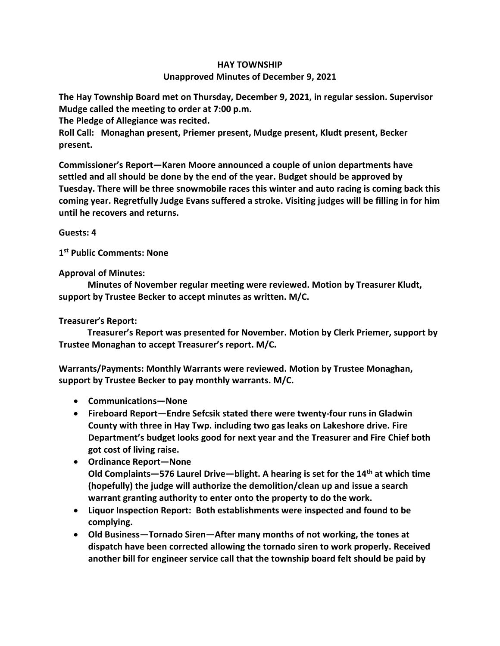## **HAY TOWNSHIP Unapproved Minutes of December 9, 2021**

**The Hay Township Board met on Thursday, December 9, 2021, in regular session. Supervisor Mudge called the meeting to order at 7:00 p.m.** 

**The Pledge of Allegiance was recited.** 

**Roll Call: Monaghan present, Priemer present, Mudge present, Kludt present, Becker present.**

**Commissioner's Report—Karen Moore announced a couple of union departments have settled and all should be done by the end of the year. Budget should be approved by Tuesday. There will be three snowmobile races this winter and auto racing is coming back this coming year. Regretfully Judge Evans suffered a stroke. Visiting judges will be filling in for him until he recovers and returns.** 

**Guests: 4**

**1 st Public Comments: None**

**Approval of Minutes:**

 **Minutes of November regular meeting were reviewed. Motion by Treasurer Kludt, support by Trustee Becker to accept minutes as written. M/C.**

## **Treasurer's Report:**

 **Treasurer's Report was presented for November. Motion by Clerk Priemer, support by Trustee Monaghan to accept Treasurer's report. M/C.**

**Warrants/Payments: Monthly Warrants were reviewed. Motion by Trustee Monaghan, support by Trustee Becker to pay monthly warrants. M/C.**

- **Communications—None**
- **Fireboard Report—Endre Sefcsik stated there were twenty-four runs in Gladwin County with three in Hay Twp. including two gas leaks on Lakeshore drive. Fire Department's budget looks good for next year and the Treasurer and Fire Chief both got cost of living raise.**
- **Ordinance Report—None Old Complaints—576 Laurel Drive—blight. A hearing is set for the 14th at which time (hopefully) the judge will authorize the demolition/clean up and issue a search warrant granting authority to enter onto the property to do the work.**
- **Liquor Inspection Report: Both establishments were inspected and found to be complying.**
- **Old Business—Tornado Siren—After many months of not working, the tones at dispatch have been corrected allowing the tornado siren to work properly. Received another bill for engineer service call that the township board felt should be paid by**